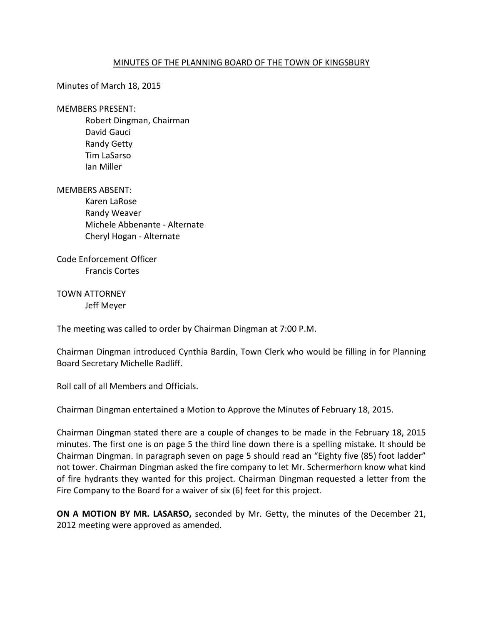## MINUTES OF THE PLANNING BOARD OF THE TOWN OF KINGSBURY

Minutes of March 18, 2015

MEMBERS PRESENT:

 Robert Dingman, Chairman David Gauci Randy Getty Tim LaSarso Ian Miller

MEMBERS ABSENT: Karen LaRose Randy Weaver Michele Abbenante - Alternate Cheryl Hogan - Alternate

Code Enforcement Officer Francis Cortes

TOWN ATTORNEY Jeff Meyer

The meeting was called to order by Chairman Dingman at 7:00 P.M.

Chairman Dingman introduced Cynthia Bardin, Town Clerk who would be filling in for Planning Board Secretary Michelle Radliff.

Roll call of all Members and Officials.

Chairman Dingman entertained a Motion to Approve the Minutes of February 18, 2015.

Chairman Dingman stated there are a couple of changes to be made in the February 18, 2015 minutes. The first one is on page 5 the third line down there is a spelling mistake. It should be Chairman Dingman. In paragraph seven on page 5 should read an "Eighty five (85) foot ladder" not tower. Chairman Dingman asked the fire company to let Mr. Schermerhorn know what kind of fire hydrants they wanted for this project. Chairman Dingman requested a letter from the Fire Company to the Board for a waiver of six (6) feet for this project.

**ON A MOTION BY MR. LASARSO,** seconded by Mr. Getty, the minutes of the December 21, 2012 meeting were approved as amended.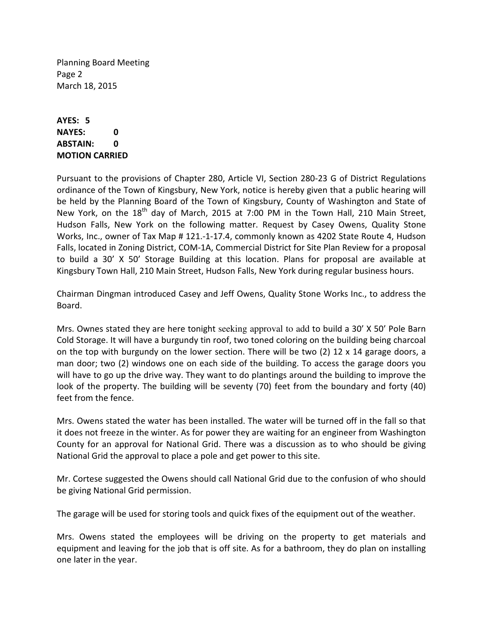Planning Board Meeting Page 2 March 18, 2015

## **AYES: 5 NAYES: 0 ABSTAIN: 0 MOTION CARRIED**

Pursuant to the provisions of Chapter 280, Article VI, Section 280-23 G of District Regulations ordinance of the Town of Kingsbury, New York, notice is hereby given that a public hearing will be held by the Planning Board of the Town of Kingsbury, County of Washington and State of New York, on the  $18<sup>th</sup>$  day of March, 2015 at 7:00 PM in the Town Hall, 210 Main Street, Hudson Falls, New York on the following matter. Request by Casey Owens, Quality Stone Works, Inc., owner of Tax Map # 121.-1-17.4, commonly known as 4202 State Route 4, Hudson Falls, located in Zoning District, COM-1A, Commercial District for Site Plan Review for a proposal to build a 30' X 50' Storage Building at this location. Plans for proposal are available at Kingsbury Town Hall, 210 Main Street, Hudson Falls, New York during regular business hours.

Chairman Dingman introduced Casey and Jeff Owens, Quality Stone Works Inc., to address the Board.

Mrs. Ownes stated they are here tonight seeking approval to add to build a 30' X 50' Pole Barn Cold Storage. It will have a burgundy tin roof, two toned coloring on the building being charcoal on the top with burgundy on the lower section. There will be two  $(2)$  12 x 14 garage doors, a man door; two (2) windows one on each side of the building. To access the garage doors you will have to go up the drive way. They want to do plantings around the building to improve the look of the property. The building will be seventy (70) feet from the boundary and forty (40) feet from the fence.

Mrs. Owens stated the water has been installed. The water will be turned off in the fall so that it does not freeze in the winter. As for power they are waiting for an engineer from Washington County for an approval for National Grid. There was a discussion as to who should be giving National Grid the approval to place a pole and get power to this site.

Mr. Cortese suggested the Owens should call National Grid due to the confusion of who should be giving National Grid permission.

The garage will be used for storing tools and quick fixes of the equipment out of the weather.

Mrs. Owens stated the employees will be driving on the property to get materials and equipment and leaving for the job that is off site. As for a bathroom, they do plan on installing one later in the year.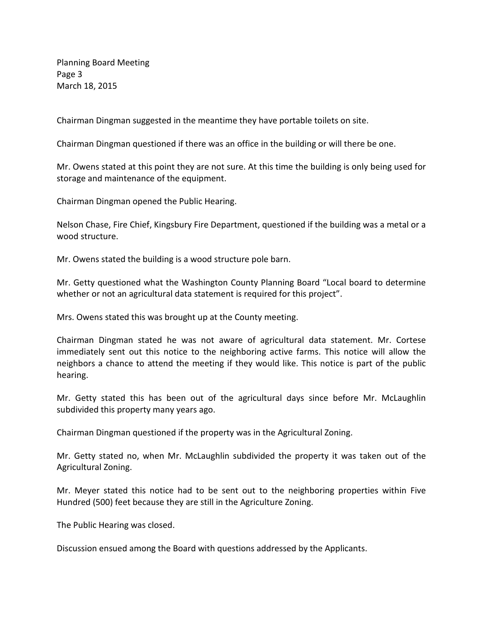Planning Board Meeting Page 3 March 18, 2015

Chairman Dingman suggested in the meantime they have portable toilets on site.

Chairman Dingman questioned if there was an office in the building or will there be one.

Mr. Owens stated at this point they are not sure. At this time the building is only being used for storage and maintenance of the equipment.

Chairman Dingman opened the Public Hearing.

Nelson Chase, Fire Chief, Kingsbury Fire Department, questioned if the building was a metal or a wood structure.

Mr. Owens stated the building is a wood structure pole barn.

Mr. Getty questioned what the Washington County Planning Board "Local board to determine whether or not an agricultural data statement is required for this project".

Mrs. Owens stated this was brought up at the County meeting.

Chairman Dingman stated he was not aware of agricultural data statement. Mr. Cortese immediately sent out this notice to the neighboring active farms. This notice will allow the neighbors a chance to attend the meeting if they would like. This notice is part of the public hearing.

Mr. Getty stated this has been out of the agricultural days since before Mr. McLaughlin subdivided this property many years ago.

Chairman Dingman questioned if the property was in the Agricultural Zoning.

Mr. Getty stated no, when Mr. McLaughlin subdivided the property it was taken out of the Agricultural Zoning.

Mr. Meyer stated this notice had to be sent out to the neighboring properties within Five Hundred (500) feet because they are still in the Agriculture Zoning.

The Public Hearing was closed.

Discussion ensued among the Board with questions addressed by the Applicants.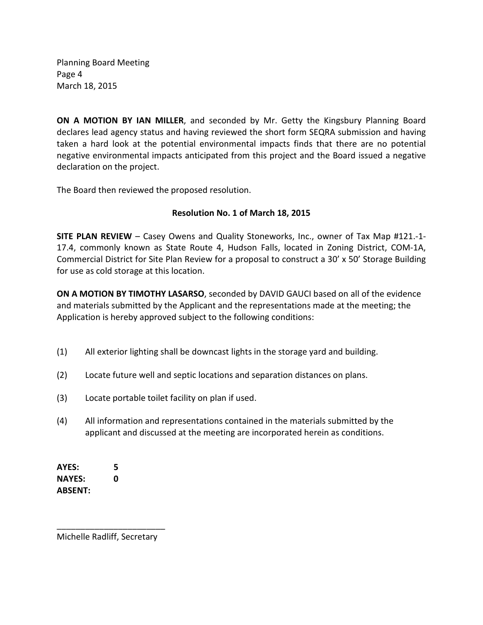Planning Board Meeting Page 4 March 18, 2015

**ON A MOTION BY IAN MILLER**, and seconded by Mr. Getty the Kingsbury Planning Board declares lead agency status and having reviewed the short form SEQRA submission and having taken a hard look at the potential environmental impacts finds that there are no potential negative environmental impacts anticipated from this project and the Board issued a negative declaration on the project.

The Board then reviewed the proposed resolution.

## **Resolution No. 1 of March 18, 2015**

**SITE PLAN REVIEW** – Casey Owens and Quality Stoneworks, Inc., owner of Tax Map #121.-1- 17.4, commonly known as State Route 4, Hudson Falls, located in Zoning District, COM-1A, Commercial District for Site Plan Review for a proposal to construct a 30' x 50' Storage Building for use as cold storage at this location.

**ON A MOTION BY TIMOTHY LASARSO**, seconded by DAVID GAUCI based on all of the evidence and materials submitted by the Applicant and the representations made at the meeting; the Application is hereby approved subject to the following conditions:

- (1) All exterior lighting shall be downcast lights in the storage yard and building.
- (2) Locate future well and septic locations and separation distances on plans.
- (3) Locate portable toilet facility on plan if used.
- (4) All information and representations contained in the materials submitted by the applicant and discussed at the meeting are incorporated herein as conditions.

**AYES: 5 NAYES: 0 ABSENT:** 

\_\_\_\_\_\_\_\_\_\_\_\_\_\_\_\_\_\_\_\_\_\_\_ Michelle Radliff, Secretary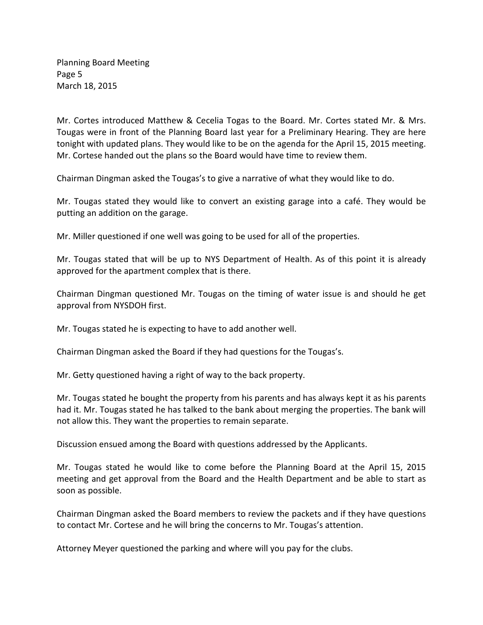Planning Board Meeting Page 5 March 18, 2015

Mr. Cortes introduced Matthew & Cecelia Togas to the Board. Mr. Cortes stated Mr. & Mrs. Tougas were in front of the Planning Board last year for a Preliminary Hearing. They are here tonight with updated plans. They would like to be on the agenda for the April 15, 2015 meeting. Mr. Cortese handed out the plans so the Board would have time to review them.

Chairman Dingman asked the Tougas's to give a narrative of what they would like to do.

Mr. Tougas stated they would like to convert an existing garage into a café. They would be putting an addition on the garage.

Mr. Miller questioned if one well was going to be used for all of the properties.

Mr. Tougas stated that will be up to NYS Department of Health. As of this point it is already approved for the apartment complex that is there.

Chairman Dingman questioned Mr. Tougas on the timing of water issue is and should he get approval from NYSDOH first.

Mr. Tougas stated he is expecting to have to add another well.

Chairman Dingman asked the Board if they had questions for the Tougas's.

Mr. Getty questioned having a right of way to the back property.

Mr. Tougas stated he bought the property from his parents and has always kept it as his parents had it. Mr. Tougas stated he has talked to the bank about merging the properties. The bank will not allow this. They want the properties to remain separate.

Discussion ensued among the Board with questions addressed by the Applicants.

Mr. Tougas stated he would like to come before the Planning Board at the April 15, 2015 meeting and get approval from the Board and the Health Department and be able to start as soon as possible.

Chairman Dingman asked the Board members to review the packets and if they have questions to contact Mr. Cortese and he will bring the concerns to Mr. Tougas's attention.

Attorney Meyer questioned the parking and where will you pay for the clubs.